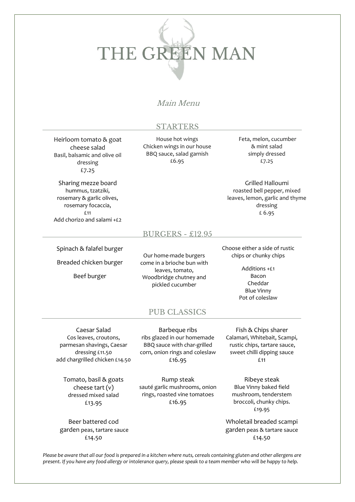# THE GREEN MAN

# Main Menu

#### STARTERS

Heirloom tomato & goat cheese salad Basil, balsamic and olive oil dressing £7.25

Sharing mezze board hummus, tzatziki, rosemary & garlic olives, rosemary focaccia, £11 Add chorizo and salami +£2

House hot wings Chicken wings in our house BBQ sauce, salad garnish £6.95

Feta, melon, cucumber & mint salad simply dressed £7.25

Grilled Halloumi roasted bell pepper, mixed leaves, lemon, garlic and thyme dressing £ 6.95

#### BURGERS - £12.95

Spinach & falafel burger

Breaded chicken burger

Beef burger

Our home-made burgers come in a brioche bun with leaves, tomato, Woodbridge chutney and pickled cucumber

Choose either a side of rustic chips or chunky chips

> Additions +£1 Bacon Cheddar Blue Vinny Pot of coleslaw

# PUB CLASSICS

Caesar Salad Cos leaves, croutons, parmesan shavings, Caesar dressing £11.50 add chargrilled chicken £14.50

Tomato, basil & goats cheese tart (v) dressed mixed salad £13.95

Beer battered cod garden peas, tartare sauce £14.50

Barbeque ribs ribs glazed in our homemade BBQ sauce with char-grilled corn, onion rings and coleslaw £16.95

Rump steak sauté garlic mushrooms, onion rings, roasted vine tomatoes £16.95

Calamari, Whitebait, Scampi, rustic chips, tartare sauce, sweet chilli dipping sauce £11

Fish & Chips sharer

Ribeye steak Blue Vinny baked field mushroom, tenderstem broccoli, chunky chips. £19.95

Wholetail breaded scampi garden peas & tartare sauce £14.50

*Please be aware that all our food is prepared in a kitchen where nuts, cereals containing gluten and other allergens are present. If you have any food allergy or intolerance query, please speak to a team member who will be happy to help.*